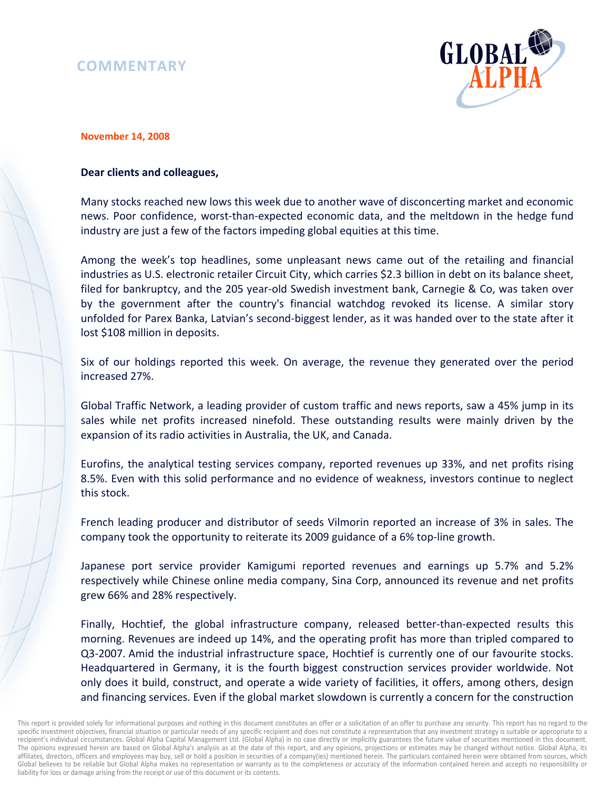## **COMMENTARY**



## **November 14, 2008**

## **Dear clients and colleagues,**

Many stocks reached new lows this week due to another wave of disconcerting market and economic news. Poor confidence, worst-than-expected economic data, and the meltdown in the hedge fund industry are just a few of the factors impeding global equities at this time.

Among the week's top headlines, some unpleasant news came out of the retailing and financial industries as U.S. electronic retailer Circuit City, which carries \$2.3 billion in debt on its balance sheet, filed for bankruptcy, and the 205 year-old Swedish investment bank, Carnegie & Co, was taken over by the government after the country's financial watchdog revoked its license. A similar story unfolded for Parex Banka, Latvian's second-biggest lender, as it was handed over to the state after it lost \$108 million in deposits.

Six of our holdings reported this week. On average, the revenue they generated over the period increased 27%.

Global Traffic Network, a leading provider of custom traffic and news reports, saw a 45% jump in its sales while net profits increased ninefold. These outstanding results were mainly driven by the expansion of its radio activities in Australia, the UK, and Canada.

Eurofins, the analytical testing services company, reported revenues up 33%, and net profits rising 8.5%. Even with this solid performance and no evidence of weakness, investors continue to neglect this stock.

French leading producer and distributor of seeds Vilmorin reported an increase of 3% in sales. The company took the opportunity to reiterate its 2009 guidance of a 6% top-line growth.

Japanese port service provider Kamigumi reported revenues and earnings up 5.7% and 5.2% respectively while Chinese online media company, Sina Corp, announced its revenue and net profits grew 66% and 28% respectively.

Finally, Hochtief, the global infrastructure company, released better-than-expected results this morning. Revenues are indeed up 14%, and the operating profit has more than tripled compared to Q3-2007. Amid the industrial infrastructure space, Hochtief is currently one of our favourite stocks. Headquartered in Germany, it is the fourth biggest construction services provider worldwide. Not only does it build, construct, and operate a wide variety of facilities, it offers, among others, design and financing services. Even if the global market slowdown is currently a concern for the construction

This report is provided solely for informational purposes and nothing in this document constitutes an offer or a solicitation of an offer to purchase any security. This report has no regard to the specific investment objectives, financial situation or particular needs of any specific recipient and does not constitute a representation that any investment strategy is suitable or appropriate to a recipient's individual circumstances. Global Alpha Capital Management Ltd. (Global Alpha) in no case directly or implicitly guarantees the future value of securities mentioned in this document. The opinions expressed herein are based on Global Alpha's analysis as at the date of this report, and any opinions, projections or estimates may be changed without notice. Global Alpha, its affiliates, directors, officers and employees may buy, sell or hold a position in securities of a company(ies) mentioned herein. The particulars contained herein were obtained from sources, which Global believes to be reliable but Global Alpha makes no representation or warranty as to the completeness or accuracy of the information contained herein and accepts no responsibility or liability for loss or damage arising from the receipt or use of this document or its contents.